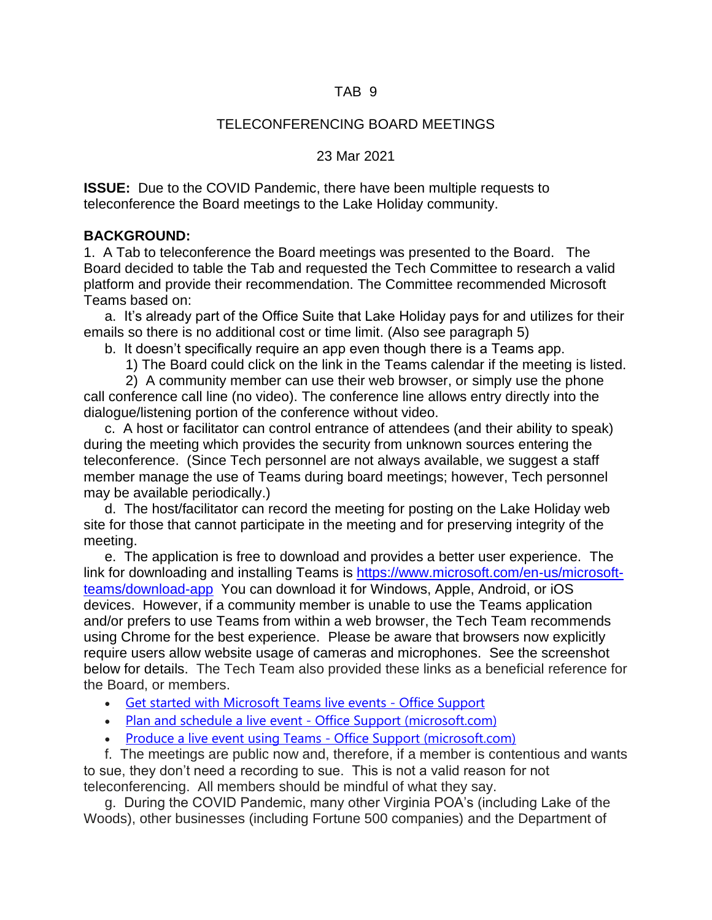## TAB 9

# TELECONFERENCING BOARD MEETINGS

#### 23 Mar 2021

**ISSUE:** Due to the COVID Pandemic, there have been multiple requests to teleconference the Board meetings to the Lake Holiday community.

# **BACKGROUND:**

1. A Tab to teleconference the Board meetings was presented to the Board. The Board decided to table the Tab and requested the Tech Committee to research a valid platform and provide their recommendation. The Committee recommended Microsoft Teams based on:

a. It's already part of the Office Suite that Lake Holiday pays for and utilizes for their emails so there is no additional cost or time limit. (Also see paragraph 5)

b. It doesn't specifically require an app even though there is a Teams app.

1) The Board could click on the link in the Teams calendar if the meeting is listed.

2) A community member can use their web browser, or simply use the phone call conference call line (no video). The conference line allows entry directly into the dialogue/listening portion of the conference without video.

c. A host or facilitator can control entrance of attendees (and their ability to speak) during the meeting which provides the security from unknown sources entering the teleconference. (Since Tech personnel are not always available, we suggest a staff member manage the use of Teams during board meetings; however, Tech personnel may be available periodically.)

d. The host/facilitator can record the meeting for posting on the Lake Holiday web site for those that cannot participate in the meeting and for preserving integrity of the meeting.

e. The application is free to download and provides a better user experience. The link for downloading and installing Teams is [https://www.microsoft.com/en-us/microsoft](https://www.microsoft.com/en-us/microsoft-teams/download-app)[teams/download-app](https://www.microsoft.com/en-us/microsoft-teams/download-app) You can download it for Windows, Apple, Android, or iOS devices. However, if a community member is unable to use the Teams application and/or prefers to use Teams from within a web browser, the Tech Team recommends using Chrome for the best experience. Please be aware that browsers now explicitly require users allow website usage of cameras and microphones. See the screenshot below for details. The Tech Team also provided these links as a beneficial reference for the Board, or members.

- Get started with [Microsoft](https://support.microsoft.com/en-us/office/get-started-with-microsoft-teams-live-events-d077fec2-a058-483e-9ab5-1494afda578a) Teams live events Office Support
- Plan and schedule a live event Office Support [\(microsoft.com\)](https://support.microsoft.com/en-us/office/plan-and-schedule-a-live-event-f92363a0-6d98-46d2-bdd9-f2248075e502)
- Produce a live event using Teams Office Support [\(microsoft.com\)](https://support.microsoft.com/en-us/office/produce-a-live-event-using-teams-591bd694-121d-405c-b26d-730315e45a22)

f. The meetings are public now and, therefore, if a member is contentious and wants to sue, they don't need a recording to sue. This is not a valid reason for not teleconferencing. All members should be mindful of what they say.

g. During the COVID Pandemic, many other Virginia POA's (including Lake of the Woods), other businesses (including Fortune 500 companies) and the Department of